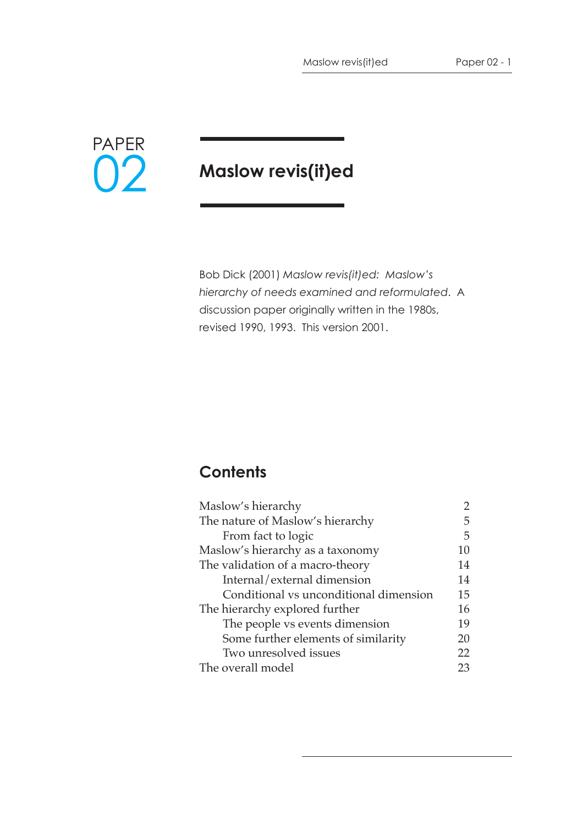

# **Maslow revis(it)ed**

Bob Dick (2001) *Maslow revis(it)ed: Maslow's hierarchy of needs examined and reformulated*. A discussion paper originally written in the 1980s, revised 1990, 1993. This version 2001.

# **Contents**

| Maslow's hierarchy                     |    |
|----------------------------------------|----|
| The nature of Maslow's hierarchy       |    |
| From fact to logic                     | 5  |
| Maslow's hierarchy as a taxonomy       | 10 |
| The validation of a macro-theory       |    |
| Internal/external dimension            | 14 |
| Conditional vs unconditional dimension |    |
| The hierarchy explored further         |    |
| The people vs events dimension         |    |
| Some further elements of similarity    |    |
| Two unresolved issues                  | 22 |
| The overall model                      |    |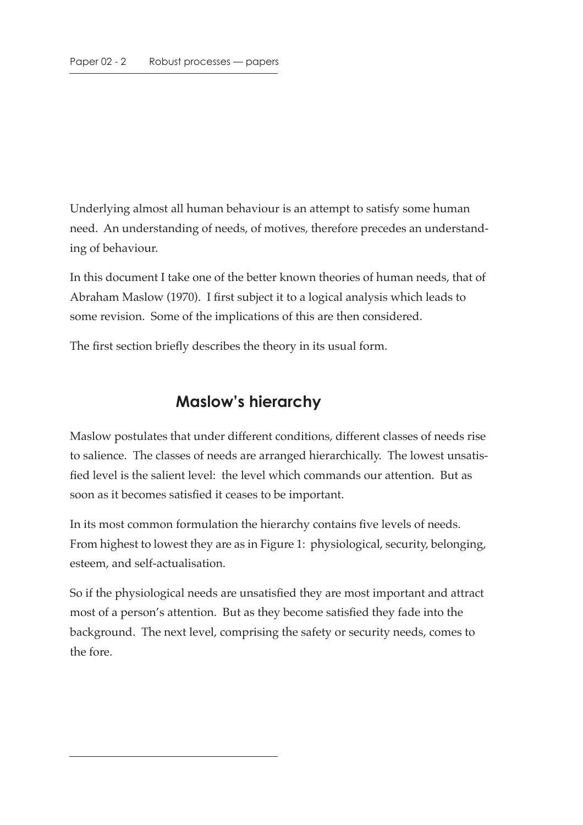Underlying almost all human behaviour is an attempt to satisfy some human need. An understanding of needs, of motives, therefore precedes an understanding of behaviour.

In this document I take one of the better known theories of human needs, that of Abraham Maslow (1970). I first subject it to a logical analysis which leads to some revision. Some of the implications of this are then considered.

The first section briefly describes the theory in its usual form.

### **Maslow's hierarchy**

Maslow postulates that under different conditions, different classes of needs rise to salience. The classes of needs are arranged hierarchically. The lowest unsatisfied level is the salient level: the level which commands our attention. But as soon as it becomes satisfied it ceases to be important.

In its most common formulation the hierarchy contains five levels of needs. From highest to lowest they are as in Figure 1: physiological, security, belonging, esteem, and self-actualisation.

So if the physiological needs are unsatisfied they are most important and attract most of a person's attention. But as they become satisfied they fade into the background. The next level, comprising the safety or security needs, comes to the fore.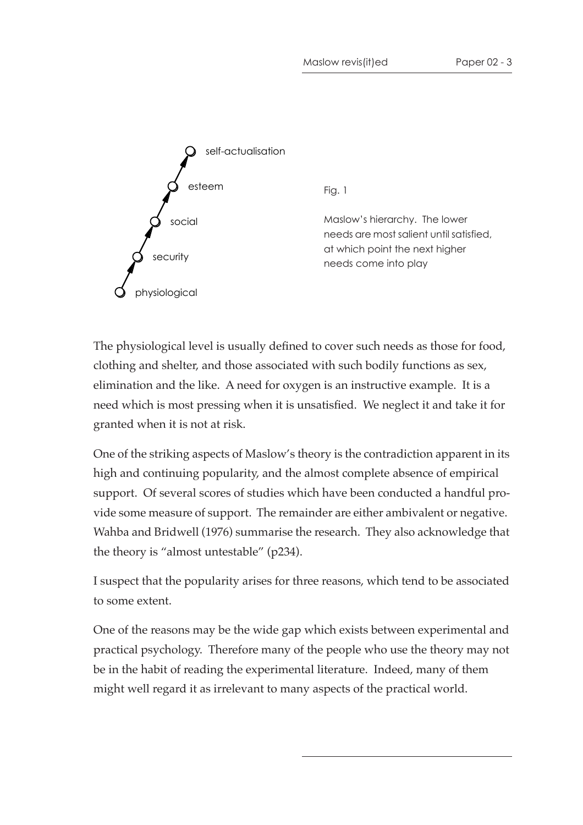

The physiological level is usually defined to cover such needs as those for food, clothing and shelter, and those associated with such bodily functions as sex, elimination and the like. A need for oxygen is an instructive example. It is a need which is most pressing when it is unsatisfied. We neglect it and take it for granted when it is not at risk.

One of the striking aspects of Maslow's theory is the contradiction apparent in its high and continuing popularity, and the almost complete absence of empirical support. Of several scores of studies which have been conducted a handful provide some measure of support. The remainder are either ambivalent or negative. Wahba and Bridwell (1976) summarise the research. They also acknowledge that the theory is "almost untestable" (p234).

I suspect that the popularity arises for three reasons, which tend to be associated to some extent.

One of the reasons may be the wide gap which exists between experimental and practical psychology. Therefore many of the people who use the theory may not be in the habit of reading the experimental literature. Indeed, many of them might well regard it as irrelevant to many aspects of the practical world.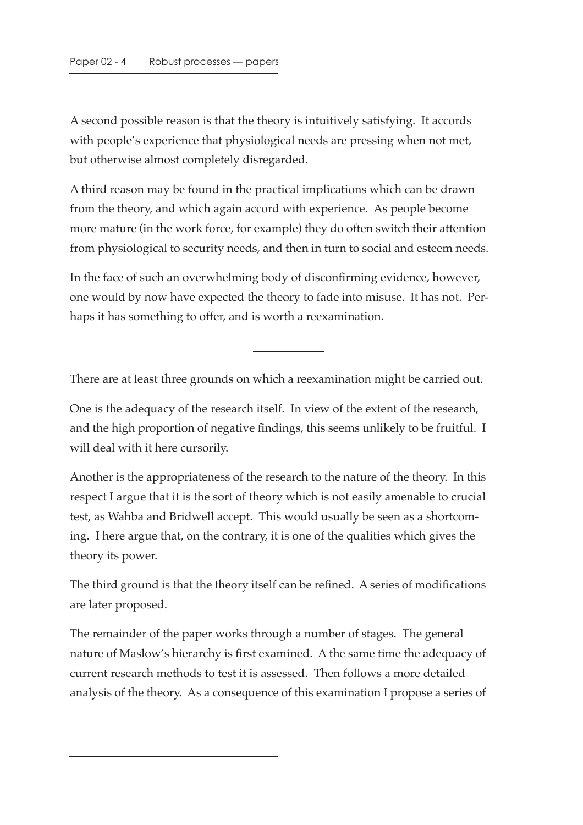A second possible reason is that the theory is intuitively satisfying. It accords with people's experience that physiological needs are pressing when not met, but otherwise almost completely disregarded.

A third reason may be found in the practical implications which can be drawn from the theory, and which again accord with experience. As people become more mature (in the work force, for example) they do often switch their attention from physiological to security needs, and then in turn to social and esteem needs.

In the face of such an overwhelming body of disconfirming evidence, however, one would by now have expected the theory to fade into misuse. It has not. Perhaps it has something to offer, and is worth a reexamination.

There are at least three grounds on which a reexamination might be carried out.

One is the adequacy of the research itself. In view of the extent of the research, and the high proportion of negative findings, this seems unlikely to be fruitful. I will deal with it here cursorily.

Another is the appropriateness of the research to the nature of the theory. In this respect I argue that it is the sort of theory which is not easily amenable to crucial test, as Wahba and Bridwell accept. This would usually be seen as a shortcoming. I here argue that, on the contrary, it is one of the qualities which gives the theory its power.

The third ground is that the theory itself can be refined. A series of modifications are later proposed.

The remainder of the paper works through a number of stages. The general nature of Maslow's hierarchy is first examined. A the same time the adequacy of current research methods to test it is assessed. Then follows a more detailed analysis of the theory. As a consequence of this examination I propose a series of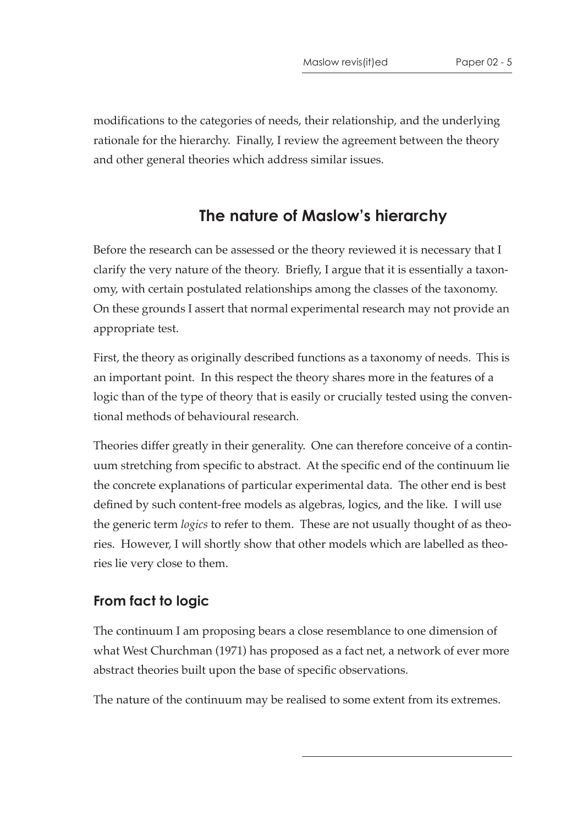modifications to the categories of needs, their relationship, and the underlying rationale for the hierarchy. Finally, I review the agreement between the theory and other general theories which address similar issues.

# **The nature of Maslow's hierarchy**

Before the research can be assessed or the theory reviewed it is necessary that I clarify the very nature of the theory. Briefly, I argue that it is essentially a taxonomy, with certain postulated relationships among the classes of the taxonomy. On these grounds I assert that normal experimental research may not provide an appropriate test.

First, the theory as originally described functions as a taxonomy of needs. This is an important point. In this respect the theory shares more in the features of a logic than of the type of theory that is easily or crucially tested using the conventional methods of behavioural research.

Theories differ greatly in their generality. One can therefore conceive of a continuum stretching from specific to abstract. At the specific end of the continuum lie the concrete explanations of particular experimental data. The other end is best defined by such content-free models as algebras, logics, and the like. I will use the generic term *logics* to refer to them. These are not usually thought of as theories. However, I will shortly show that other models which are labelled as theories lie very close to them.

### **From fact to logic**

The continuum I am proposing bears a close resemblance to one dimension of what West Churchman (1971) has proposed as a fact net, a network of ever more abstract theories built upon the base of specific observations.

The nature of the continuum may be realised to some extent from its extremes.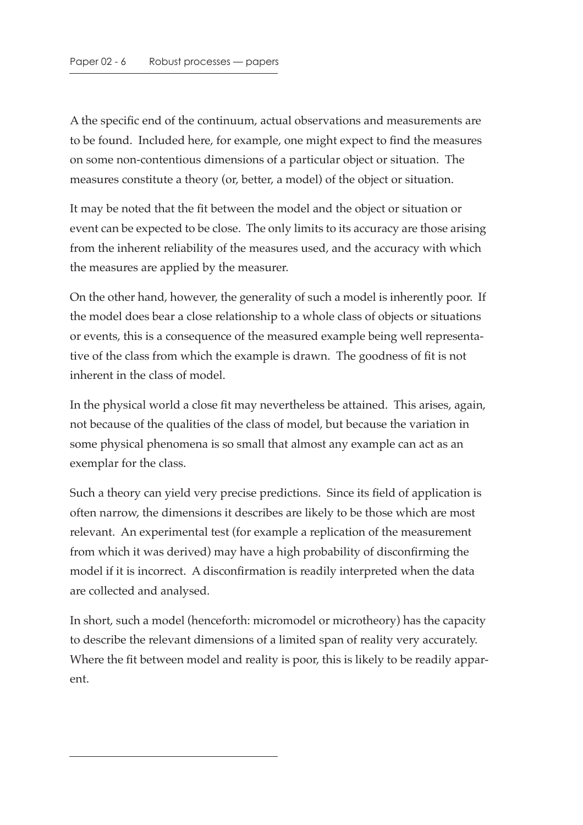A the specific end of the continuum, actual observations and measurements are to be found. Included here, for example, one might expect to find the measures on some non-contentious dimensions of a particular object or situation. The measures constitute a theory (or, better, a model) of the object or situation.

It may be noted that the fit between the model and the object or situation or event can be expected to be close. The only limits to its accuracy are those arising from the inherent reliability of the measures used, and the accuracy with which the measures are applied by the measurer.

On the other hand, however, the generality of such a model is inherently poor. If the model does bear a close relationship to a whole class of objects or situations or events, this is a consequence of the measured example being well representative of the class from which the example is drawn. The goodness of fit is not inherent in the class of model.

In the physical world a close fit may nevertheless be attained. This arises, again, not because of the qualities of the class of model, but because the variation in some physical phenomena is so small that almost any example can act as an exemplar for the class.

Such a theory can yield very precise predictions. Since its field of application is often narrow, the dimensions it describes are likely to be those which are most relevant. An experimental test (for example a replication of the measurement from which it was derived) may have a high probability of disconfirming the model if it is incorrect. A disconfirmation is readily interpreted when the data are collected and analysed.

In short, such a model (henceforth: micromodel or microtheory) has the capacity to describe the relevant dimensions of a limited span of reality very accurately. Where the fit between model and reality is poor, this is likely to be readily apparent.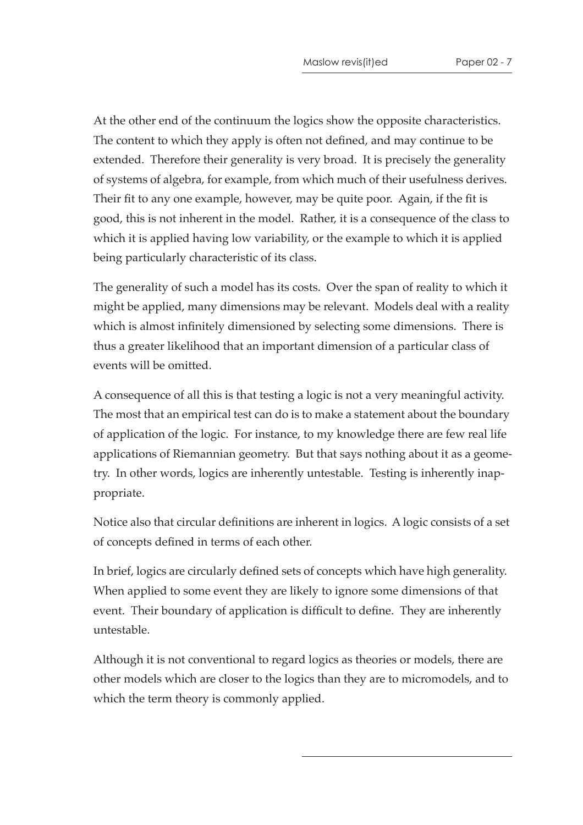At the other end of the continuum the logics show the opposite characteristics. The content to which they apply is often not defined, and may continue to be extended. Therefore their generality is very broad. It is precisely the generality of systems of algebra, for example, from which much of their usefulness derives. Their fit to any one example, however, may be quite poor. Again, if the fit is good, this is not inherent in the model. Rather, it is a consequence of the class to which it is applied having low variability, or the example to which it is applied being particularly characteristic of its class.

The generality of such a model has its costs. Over the span of reality to which it might be applied, many dimensions may be relevant. Models deal with a reality which is almost infinitely dimensioned by selecting some dimensions. There is thus a greater likelihood that an important dimension of a particular class of events will be omitted.

A consequence of all this is that testing a logic is not a very meaningful activity. The most that an empirical test can do is to make a statement about the boundary of application of the logic. For instance, to my knowledge there are few real life applications of Riemannian geometry. But that says nothing about it as a geometry. In other words, logics are inherently untestable. Testing is inherently inappropriate.

Notice also that circular definitions are inherent in logics. A logic consists of a set of concepts defined in terms of each other.

In brief, logics are circularly defined sets of concepts which have high generality. When applied to some event they are likely to ignore some dimensions of that event. Their boundary of application is difficult to define. They are inherently untestable.

Although it is not conventional to regard logics as theories or models, there are other models which are closer to the logics than they are to micromodels, and to which the term theory is commonly applied.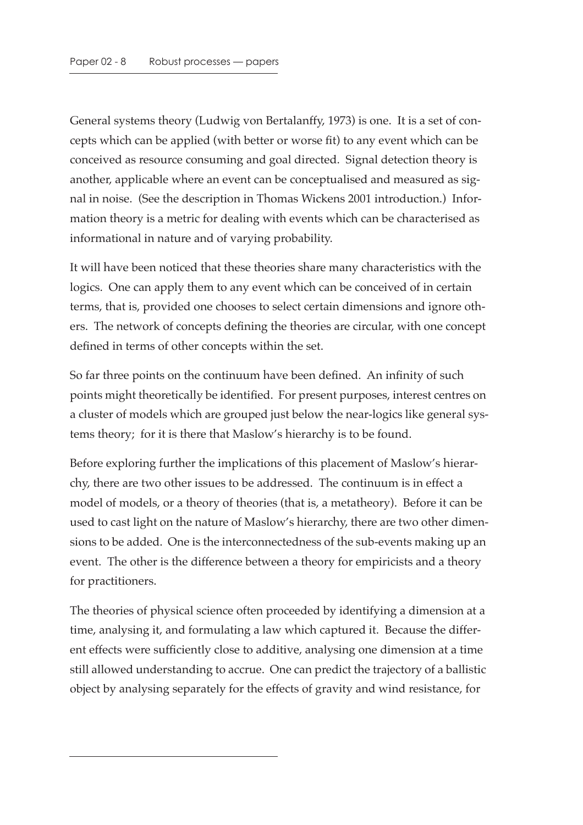General systems theory (Ludwig von Bertalanffy, 1973) is one. It is a set of concepts which can be applied (with better or worse fit) to any event which can be conceived as resource consuming and goal directed. Signal detection theory is another, applicable where an event can be conceptualised and measured as signal in noise. (See the description in Thomas Wickens 2001 introduction.) Information theory is a metric for dealing with events which can be characterised as informational in nature and of varying probability.

It will have been noticed that these theories share many characteristics with the logics. One can apply them to any event which can be conceived of in certain terms, that is, provided one chooses to select certain dimensions and ignore others. The network of concepts defining the theories are circular, with one concept defined in terms of other concepts within the set.

So far three points on the continuum have been defined. An infinity of such points might theoretically be identified. For present purposes, interest centres on a cluster of models which are grouped just below the near-logics like general systems theory; for it is there that Maslow's hierarchy is to be found.

Before exploring further the implications of this placement of Maslow's hierarchy, there are two other issues to be addressed. The continuum is in effect a model of models, or a theory of theories (that is, a metatheory). Before it can be used to cast light on the nature of Maslow's hierarchy, there are two other dimensions to be added. One is the interconnectedness of the sub-events making up an event. The other is the difference between a theory for empiricists and a theory for practitioners.

The theories of physical science often proceeded by identifying a dimension at a time, analysing it, and formulating a law which captured it. Because the different effects were sufficiently close to additive, analysing one dimension at a time still allowed understanding to accrue. One can predict the trajectory of a ballistic object by analysing separately for the effects of gravity and wind resistance, for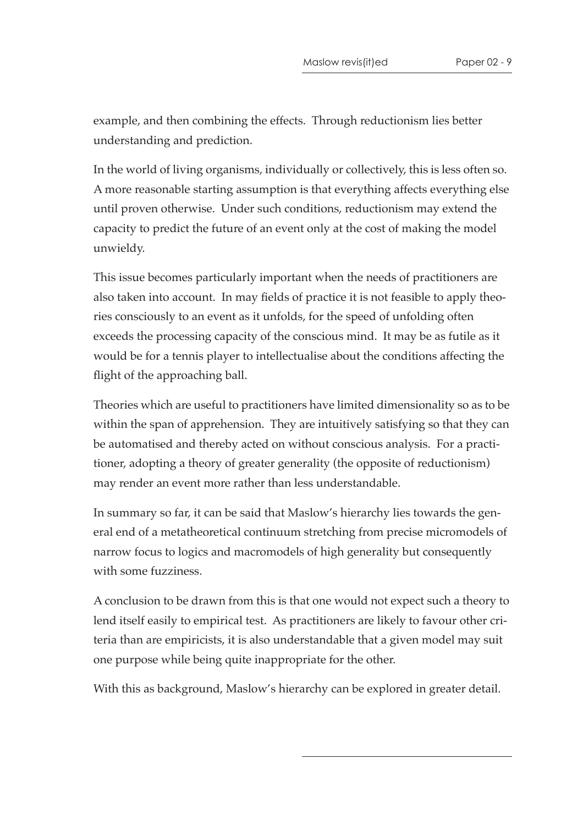example, and then combining the effects. Through reductionism lies better understanding and prediction.

In the world of living organisms, individually or collectively, this is less often so. A more reasonable starting assumption is that everything affects everything else until proven otherwise. Under such conditions, reductionism may extend the capacity to predict the future of an event only at the cost of making the model unwieldy.

This issue becomes particularly important when the needs of practitioners are also taken into account. In may fields of practice it is not feasible to apply theories consciously to an event as it unfolds, for the speed of unfolding often exceeds the processing capacity of the conscious mind. It may be as futile as it would be for a tennis player to intellectualise about the conditions affecting the flight of the approaching ball.

Theories which are useful to practitioners have limited dimensionality so as to be within the span of apprehension. They are intuitively satisfying so that they can be automatised and thereby acted on without conscious analysis. For a practitioner, adopting a theory of greater generality (the opposite of reductionism) may render an event more rather than less understandable.

In summary so far, it can be said that Maslow's hierarchy lies towards the general end of a metatheoretical continuum stretching from precise micromodels of narrow focus to logics and macromodels of high generality but consequently with some fuzziness.

A conclusion to be drawn from this is that one would not expect such a theory to lend itself easily to empirical test. As practitioners are likely to favour other criteria than are empiricists, it is also understandable that a given model may suit one purpose while being quite inappropriate for the other.

With this as background, Maslow's hierarchy can be explored in greater detail.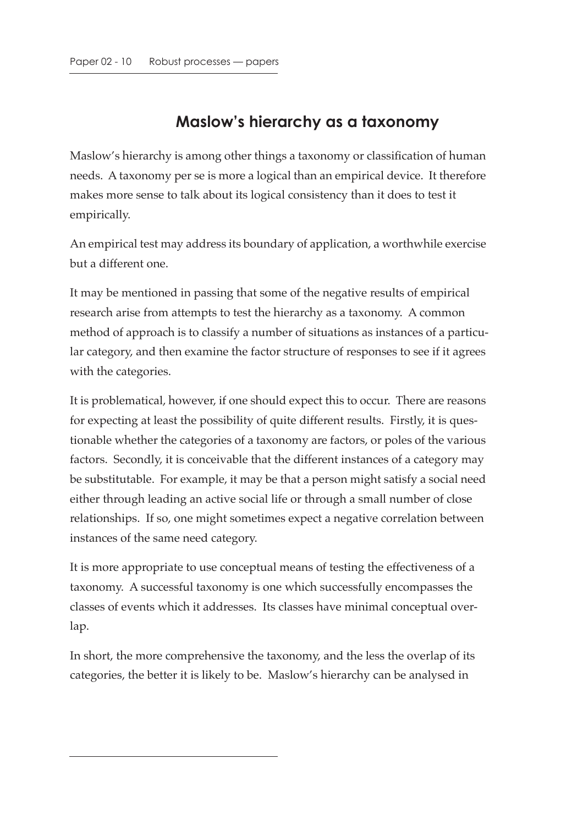# **Maslow's hierarchy as a taxonomy**

Maslow's hierarchy is among other things a taxonomy or classification of human needs. A taxonomy per se is more a logical than an empirical device. It therefore makes more sense to talk about its logical consistency than it does to test it empirically.

An empirical test may address its boundary of application, a worthwhile exercise but a different one.

It may be mentioned in passing that some of the negative results of empirical research arise from attempts to test the hierarchy as a taxonomy. A common method of approach is to classify a number of situations as instances of a particular category, and then examine the factor structure of responses to see if it agrees with the categories.

It is problematical, however, if one should expect this to occur. There are reasons for expecting at least the possibility of quite different results. Firstly, it is questionable whether the categories of a taxonomy are factors, or poles of the various factors. Secondly, it is conceivable that the different instances of a category may be substitutable. For example, it may be that a person might satisfy a social need either through leading an active social life or through a small number of close relationships. If so, one might sometimes expect a negative correlation between instances of the same need category.

It is more appropriate to use conceptual means of testing the effectiveness of a taxonomy. A successful taxonomy is one which successfully encompasses the classes of events which it addresses. Its classes have minimal conceptual overlap.

In short, the more comprehensive the taxonomy, and the less the overlap of its categories, the better it is likely to be. Maslow's hierarchy can be analysed in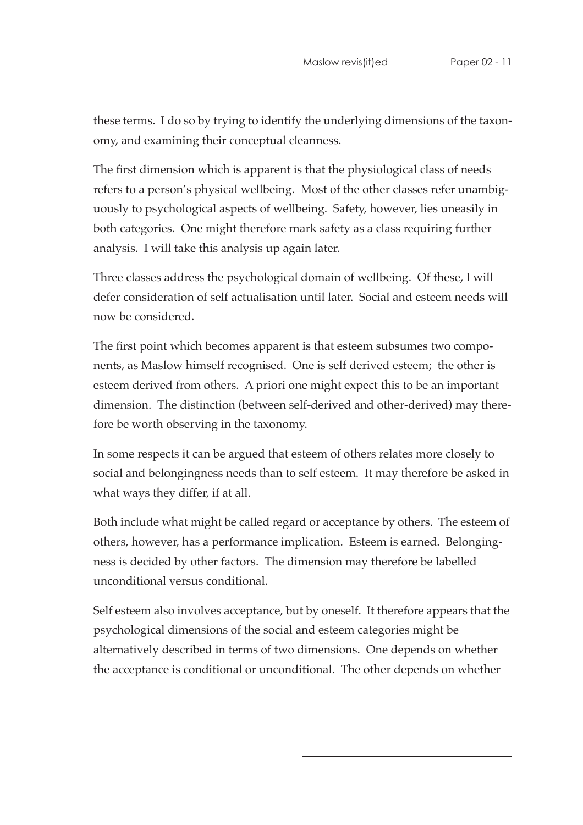these terms. I do so by trying to identify the underlying dimensions of the taxonomy, and examining their conceptual cleanness.

The first dimension which is apparent is that the physiological class of needs refers to a person's physical wellbeing. Most of the other classes refer unambiguously to psychological aspects of wellbeing. Safety, however, lies uneasily in both categories. One might therefore mark safety as a class requiring further analysis. I will take this analysis up again later.

Three classes address the psychological domain of wellbeing. Of these, I will defer consideration of self actualisation until later. Social and esteem needs will now be considered.

The first point which becomes apparent is that esteem subsumes two components, as Maslow himself recognised. One is self derived esteem; the other is esteem derived from others. A priori one might expect this to be an important dimension. The distinction (between self-derived and other-derived) may therefore be worth observing in the taxonomy.

In some respects it can be argued that esteem of others relates more closely to social and belongingness needs than to self esteem. It may therefore be asked in what ways they differ, if at all.

Both include what might be called regard or acceptance by others. The esteem of others, however, has a performance implication. Esteem is earned. Belongingness is decided by other factors. The dimension may therefore be labelled unconditional versus conditional.

Self esteem also involves acceptance, but by oneself. It therefore appears that the psychological dimensions of the social and esteem categories might be alternatively described in terms of two dimensions. One depends on whether the acceptance is conditional or unconditional. The other depends on whether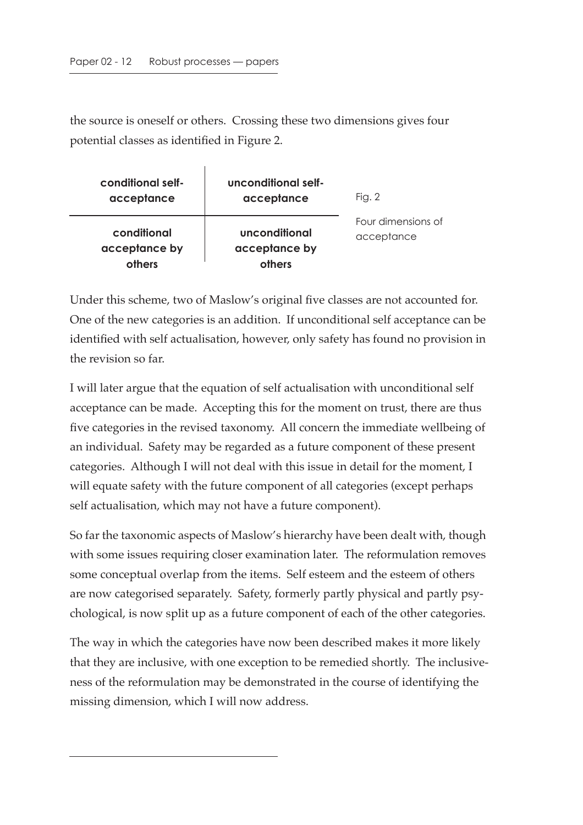the source is oneself or others. Crossing these two dimensions gives four potential classes as identified in Figure 2.

| conditional self-<br>acceptance        | unconditional self-<br>acceptance        | Fig. $2$                         |
|----------------------------------------|------------------------------------------|----------------------------------|
| conditional<br>acceptance by<br>others | unconditional<br>acceptance by<br>others | Four dimensions of<br>acceptance |

Under this scheme, two of Maslow's original five classes are not accounted for. One of the new categories is an addition. If unconditional self acceptance can be identified with self actualisation, however, only safety has found no provision in the revision so far.

I will later argue that the equation of self actualisation with unconditional self acceptance can be made. Accepting this for the moment on trust, there are thus five categories in the revised taxonomy. All concern the immediate wellbeing of an individual. Safety may be regarded as a future component of these present categories. Although I will not deal with this issue in detail for the moment, I will equate safety with the future component of all categories (except perhaps self actualisation, which may not have a future component).

So far the taxonomic aspects of Maslow's hierarchy have been dealt with, though with some issues requiring closer examination later. The reformulation removes some conceptual overlap from the items. Self esteem and the esteem of others are now categorised separately. Safety, formerly partly physical and partly psychological, is now split up as a future component of each of the other categories.

The way in which the categories have now been described makes it more likely that they are inclusive, with one exception to be remedied shortly. The inclusiveness of the reformulation may be demonstrated in the course of identifying the missing dimension, which I will now address.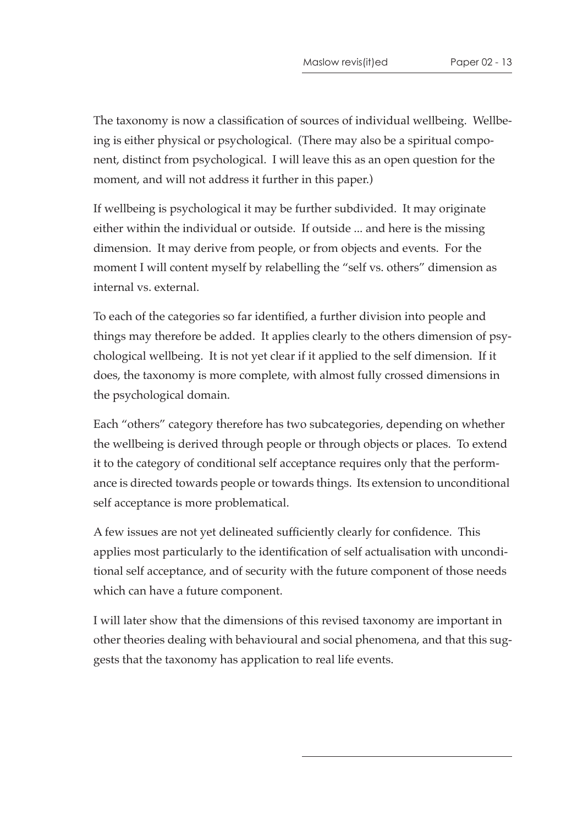The taxonomy is now a classification of sources of individual wellbeing. Wellbeing is either physical or psychological. (There may also be a spiritual component, distinct from psychological. I will leave this as an open question for the moment, and will not address it further in this paper.)

If wellbeing is psychological it may be further subdivided. It may originate either within the individual or outside. If outside ... and here is the missing dimension. It may derive from people, or from objects and events. For the moment I will content myself by relabelling the "self vs. others" dimension as internal vs. external.

To each of the categories so far identified, a further division into people and things may therefore be added. It applies clearly to the others dimension of psychological wellbeing. It is not yet clear if it applied to the self dimension. If it does, the taxonomy is more complete, with almost fully crossed dimensions in the psychological domain.

Each "others" category therefore has two subcategories, depending on whether the wellbeing is derived through people or through objects or places. To extend it to the category of conditional self acceptance requires only that the performance is directed towards people or towards things. Its extension to unconditional self acceptance is more problematical.

A few issues are not yet delineated sufficiently clearly for confidence. This applies most particularly to the identification of self actualisation with unconditional self acceptance, and of security with the future component of those needs which can have a future component.

I will later show that the dimensions of this revised taxonomy are important in other theories dealing with behavioural and social phenomena, and that this suggests that the taxonomy has application to real life events.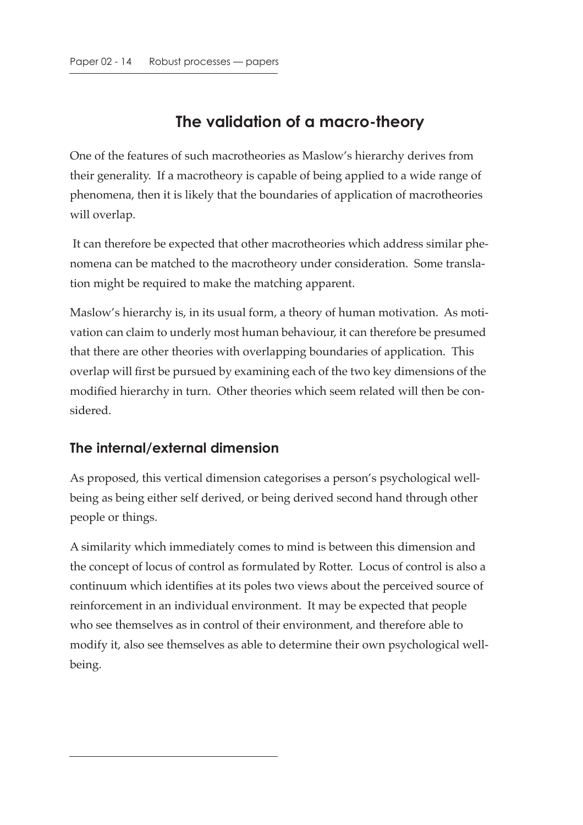# **The validation of a macro-theory**

One of the features of such macrotheories as Maslow's hierarchy derives from their generality. If a macrotheory is capable of being applied to a wide range of phenomena, then it is likely that the boundaries of application of macrotheories will overlap.

 It can therefore be expected that other macrotheories which address similar phenomena can be matched to the macrotheory under consideration. Some translation might be required to make the matching apparent.

Maslow's hierarchy is, in its usual form, a theory of human motivation. As motivation can claim to underly most human behaviour, it can therefore be presumed that there are other theories with overlapping boundaries of application. This overlap will first be pursued by examining each of the two key dimensions of the modified hierarchy in turn. Other theories which seem related will then be considered.

#### **The internal/external dimension**

As proposed, this vertical dimension categorises a person's psychological wellbeing as being either self derived, or being derived second hand through other people or things.

A similarity which immediately comes to mind is between this dimension and the concept of locus of control as formulated by Rotter. Locus of control is also a continuum which identifies at its poles two views about the perceived source of reinforcement in an individual environment. It may be expected that people who see themselves as in control of their environment, and therefore able to modify it, also see themselves as able to determine their own psychological wellbeing.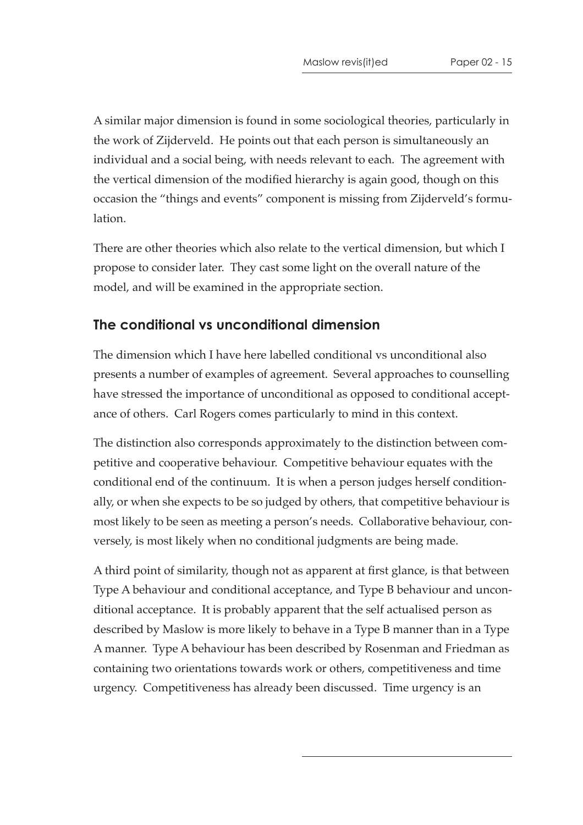A similar major dimension is found in some sociological theories, particularly in the work of Zijderveld. He points out that each person is simultaneously an individual and a social being, with needs relevant to each. The agreement with the vertical dimension of the modified hierarchy is again good, though on this occasion the "things and events" component is missing from Zijderveld's formulation.

There are other theories which also relate to the vertical dimension, but which I propose to consider later. They cast some light on the overall nature of the model, and will be examined in the appropriate section.

#### **The conditional vs unconditional dimension**

The dimension which I have here labelled conditional vs unconditional also presents a number of examples of agreement. Several approaches to counselling have stressed the importance of unconditional as opposed to conditional acceptance of others. Carl Rogers comes particularly to mind in this context.

The distinction also corresponds approximately to the distinction between competitive and cooperative behaviour. Competitive behaviour equates with the conditional end of the continuum. It is when a person judges herself conditionally, or when she expects to be so judged by others, that competitive behaviour is most likely to be seen as meeting a person's needs. Collaborative behaviour, conversely, is most likely when no conditional judgments are being made.

A third point of similarity, though not as apparent at first glance, is that between Type A behaviour and conditional acceptance, and Type B behaviour and unconditional acceptance. It is probably apparent that the self actualised person as described by Maslow is more likely to behave in a Type B manner than in a Type A manner. Type A behaviour has been described by Rosenman and Friedman as containing two orientations towards work or others, competitiveness and time urgency. Competitiveness has already been discussed. Time urgency is an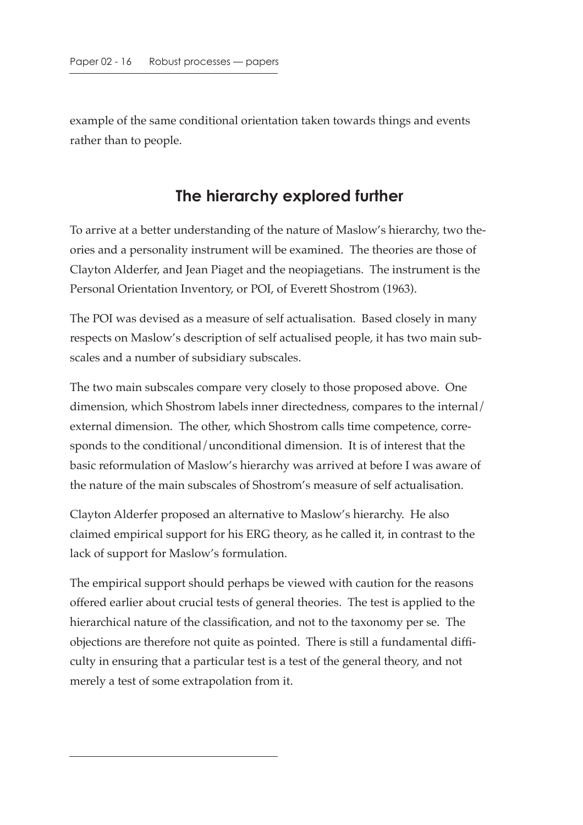example of the same conditional orientation taken towards things and events rather than to people.

### **The hierarchy explored further**

To arrive at a better understanding of the nature of Maslow's hierarchy, two theories and a personality instrument will be examined. The theories are those of Clayton Alderfer, and Jean Piaget and the neopiagetians. The instrument is the Personal Orientation Inventory, or POI, of Everett Shostrom (1963).

The POI was devised as a measure of self actualisation. Based closely in many respects on Maslow's description of self actualised people, it has two main subscales and a number of subsidiary subscales.

The two main subscales compare very closely to those proposed above. One dimension, which Shostrom labels inner directedness, compares to the internal/ external dimension. The other, which Shostrom calls time competence, corresponds to the conditional/unconditional dimension. It is of interest that the basic reformulation of Maslow's hierarchy was arrived at before I was aware of the nature of the main subscales of Shostrom's measure of self actualisation.

Clayton Alderfer proposed an alternative to Maslow's hierarchy. He also claimed empirical support for his ERG theory, as he called it, in contrast to the lack of support for Maslow's formulation.

The empirical support should perhaps be viewed with caution for the reasons offered earlier about crucial tests of general theories. The test is applied to the hierarchical nature of the classification, and not to the taxonomy per se. The objections are therefore not quite as pointed. There is still a fundamental difficulty in ensuring that a particular test is a test of the general theory, and not merely a test of some extrapolation from it.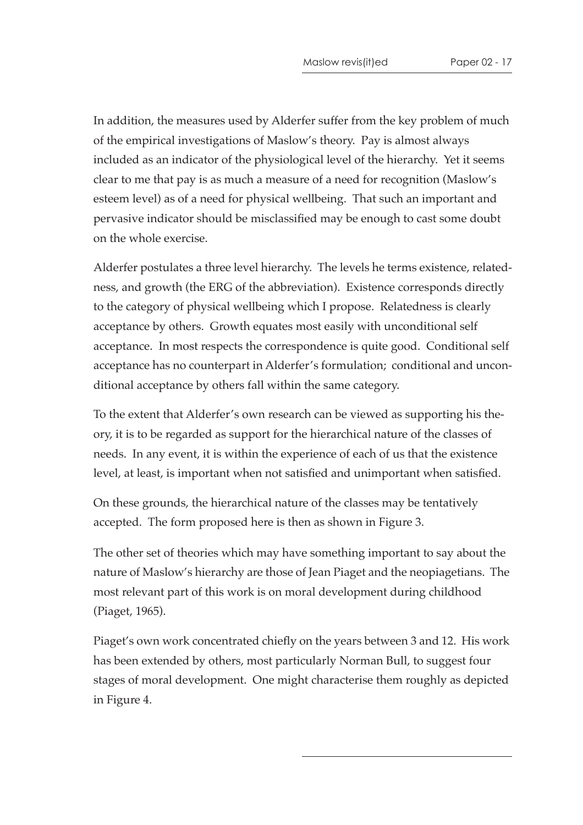In addition, the measures used by Alderfer suffer from the key problem of much of the empirical investigations of Maslow's theory. Pay is almost always included as an indicator of the physiological level of the hierarchy. Yet it seems clear to me that pay is as much a measure of a need for recognition (Maslow's esteem level) as of a need for physical wellbeing. That such an important and pervasive indicator should be misclassified may be enough to cast some doubt on the whole exercise.

Alderfer postulates a three level hierarchy. The levels he terms existence, relatedness, and growth (the ERG of the abbreviation). Existence corresponds directly to the category of physical wellbeing which I propose. Relatedness is clearly acceptance by others. Growth equates most easily with unconditional self acceptance. In most respects the correspondence is quite good. Conditional self acceptance has no counterpart in Alderfer's formulation; conditional and unconditional acceptance by others fall within the same category.

To the extent that Alderfer's own research can be viewed as supporting his theory, it is to be regarded as support for the hierarchical nature of the classes of needs. In any event, it is within the experience of each of us that the existence level, at least, is important when not satisfied and unimportant when satisfied.

On these grounds, the hierarchical nature of the classes may be tentatively accepted. The form proposed here is then as shown in Figure 3.

The other set of theories which may have something important to say about the nature of Maslow's hierarchy are those of Jean Piaget and the neopiagetians. The most relevant part of this work is on moral development during childhood (Piaget, 1965).

Piaget's own work concentrated chiefly on the years between 3 and 12. His work has been extended by others, most particularly Norman Bull, to suggest four stages of moral development. One might characterise them roughly as depicted in Figure 4.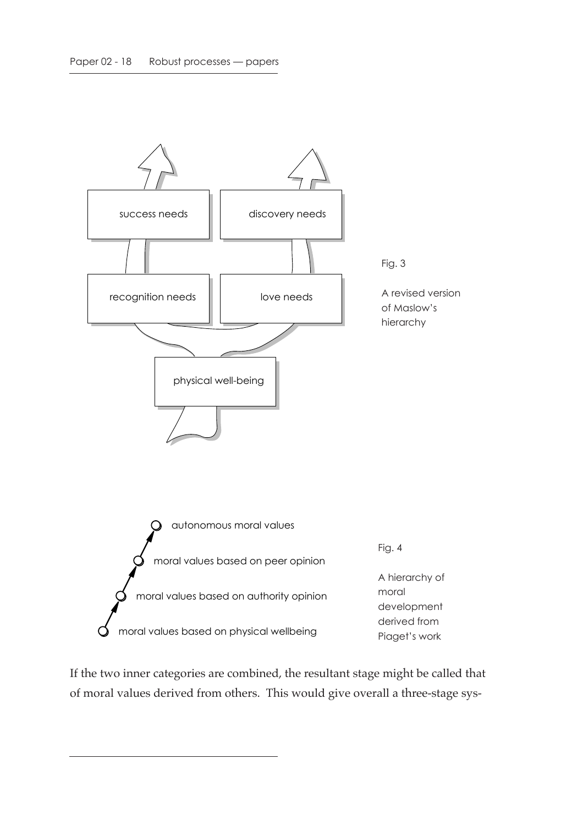

If the two inner categories are combined, the resultant stage might be called that of moral values derived from others. This would give overall a three-stage sys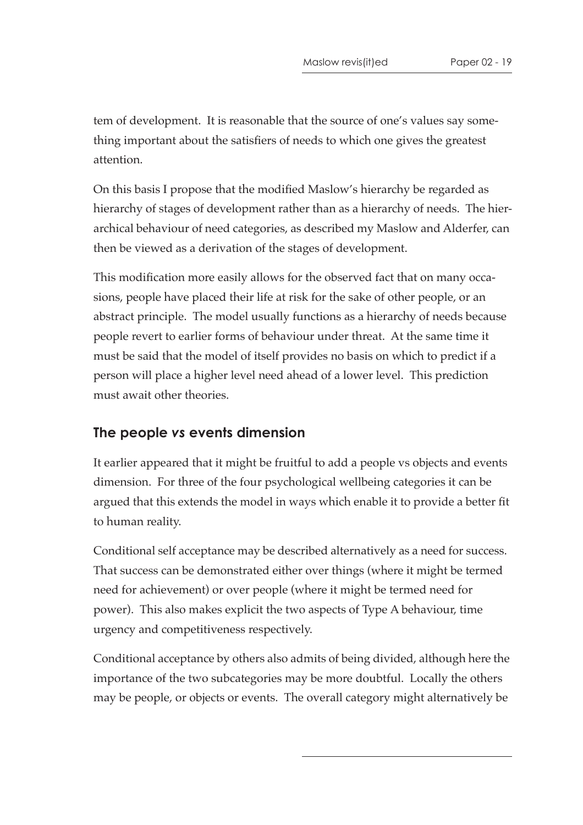tem of development. It is reasonable that the source of one's values say something important about the satisfiers of needs to which one gives the greatest attention.

On this basis I propose that the modified Maslow's hierarchy be regarded as hierarchy of stages of development rather than as a hierarchy of needs. The hierarchical behaviour of need categories, as described my Maslow and Alderfer, can then be viewed as a derivation of the stages of development.

This modification more easily allows for the observed fact that on many occasions, people have placed their life at risk for the sake of other people, or an abstract principle. The model usually functions as a hierarchy of needs because people revert to earlier forms of behaviour under threat. At the same time it must be said that the model of itself provides no basis on which to predict if a person will place a higher level need ahead of a lower level. This prediction must await other theories.

### **The people** *vs* **events dimension**

It earlier appeared that it might be fruitful to add a people vs objects and events dimension. For three of the four psychological wellbeing categories it can be argued that this extends the model in ways which enable it to provide a better fit to human reality.

Conditional self acceptance may be described alternatively as a need for success. That success can be demonstrated either over things (where it might be termed need for achievement) or over people (where it might be termed need for power). This also makes explicit the two aspects of Type A behaviour, time urgency and competitiveness respectively.

Conditional acceptance by others also admits of being divided, although here the importance of the two subcategories may be more doubtful. Locally the others may be people, or objects or events. The overall category might alternatively be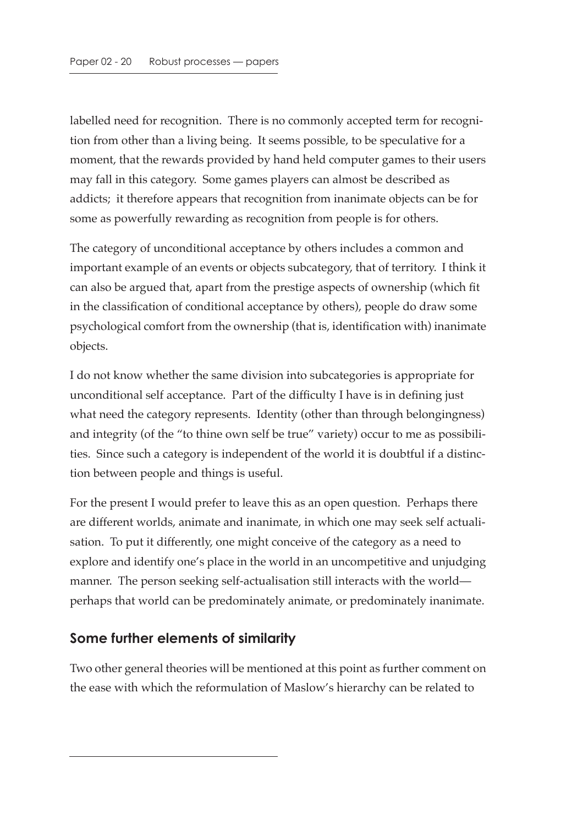labelled need for recognition. There is no commonly accepted term for recognition from other than a living being. It seems possible, to be speculative for a moment, that the rewards provided by hand held computer games to their users may fall in this category. Some games players can almost be described as addicts; it therefore appears that recognition from inanimate objects can be for some as powerfully rewarding as recognition from people is for others.

The category of unconditional acceptance by others includes a common and important example of an events or objects subcategory, that of territory. I think it can also be argued that, apart from the prestige aspects of ownership (which fit in the classification of conditional acceptance by others), people do draw some psychological comfort from the ownership (that is, identification with) inanimate objects.

I do not know whether the same division into subcategories is appropriate for unconditional self acceptance. Part of the difficulty I have is in defining just what need the category represents. Identity (other than through belongingness) and integrity (of the "to thine own self be true" variety) occur to me as possibilities. Since such a category is independent of the world it is doubtful if a distinction between people and things is useful.

For the present I would prefer to leave this as an open question. Perhaps there are different worlds, animate and inanimate, in which one may seek self actualisation. To put it differently, one might conceive of the category as a need to explore and identify one's place in the world in an uncompetitive and unjudging manner. The person seeking self-actualisation still interacts with the world perhaps that world can be predominately animate, or predominately inanimate.

#### **Some further elements of similarity**

Two other general theories will be mentioned at this point as further comment on the ease with which the reformulation of Maslow's hierarchy can be related to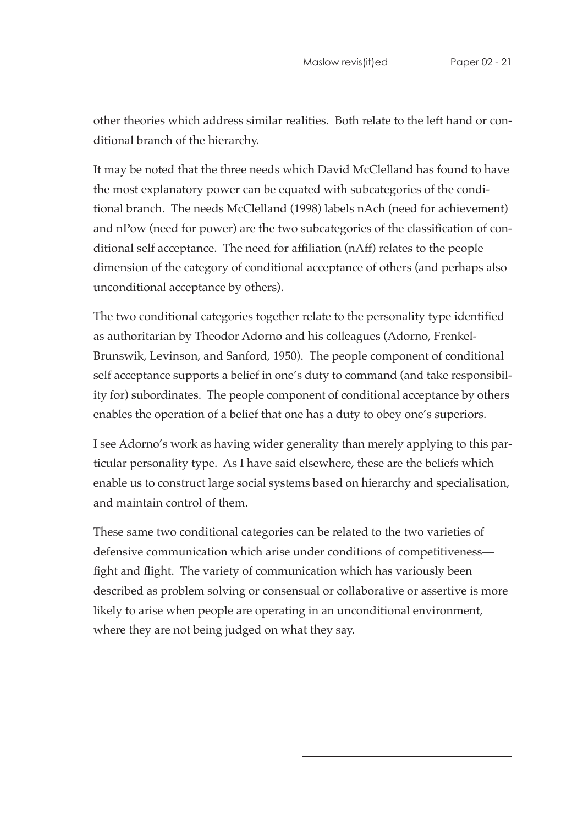other theories which address similar realities. Both relate to the left hand or conditional branch of the hierarchy.

It may be noted that the three needs which David McClelland has found to have the most explanatory power can be equated with subcategories of the conditional branch. The needs McClelland (1998) labels nAch (need for achievement) and nPow (need for power) are the two subcategories of the classification of conditional self acceptance. The need for affiliation (nAff) relates to the people dimension of the category of conditional acceptance of others (and perhaps also unconditional acceptance by others).

The two conditional categories together relate to the personality type identified as authoritarian by Theodor Adorno and his colleagues (Adorno, Frenkel-Brunswik, Levinson, and Sanford, 1950). The people component of conditional self acceptance supports a belief in one's duty to command (and take responsibility for) subordinates. The people component of conditional acceptance by others enables the operation of a belief that one has a duty to obey one's superiors.

I see Adorno's work as having wider generality than merely applying to this particular personality type. As I have said elsewhere, these are the beliefs which enable us to construct large social systems based on hierarchy and specialisation, and maintain control of them.

These same two conditional categories can be related to the two varieties of defensive communication which arise under conditions of competitiveness fight and flight. The variety of communication which has variously been described as problem solving or consensual or collaborative or assertive is more likely to arise when people are operating in an unconditional environment, where they are not being judged on what they say.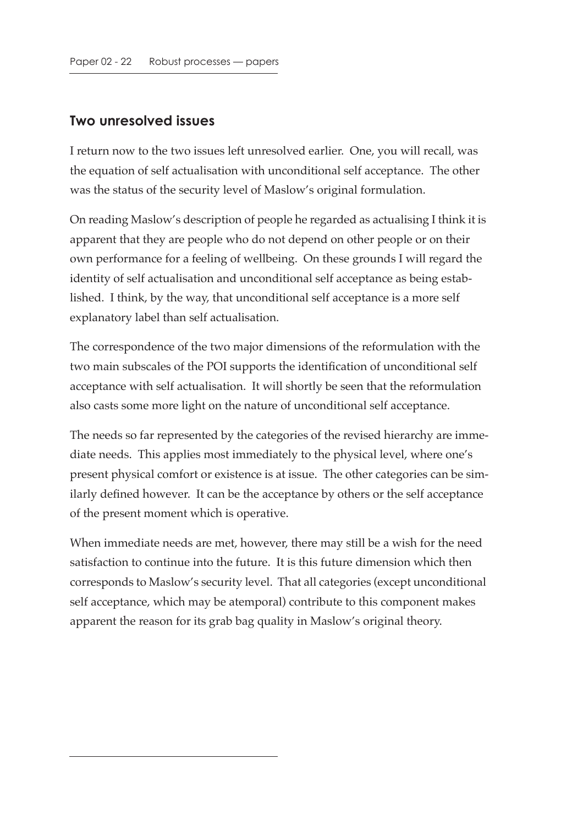#### **Two unresolved issues**

I return now to the two issues left unresolved earlier. One, you will recall, was the equation of self actualisation with unconditional self acceptance. The other was the status of the security level of Maslow's original formulation.

On reading Maslow's description of people he regarded as actualising I think it is apparent that they are people who do not depend on other people or on their own performance for a feeling of wellbeing. On these grounds I will regard the identity of self actualisation and unconditional self acceptance as being established. I think, by the way, that unconditional self acceptance is a more self explanatory label than self actualisation.

The correspondence of the two major dimensions of the reformulation with the two main subscales of the POI supports the identification of unconditional self acceptance with self actualisation. It will shortly be seen that the reformulation also casts some more light on the nature of unconditional self acceptance.

The needs so far represented by the categories of the revised hierarchy are immediate needs. This applies most immediately to the physical level, where one's present physical comfort or existence is at issue. The other categories can be similarly defined however. It can be the acceptance by others or the self acceptance of the present moment which is operative.

When immediate needs are met, however, there may still be a wish for the need satisfaction to continue into the future. It is this future dimension which then corresponds to Maslow's security level. That all categories (except unconditional self acceptance, which may be atemporal) contribute to this component makes apparent the reason for its grab bag quality in Maslow's original theory.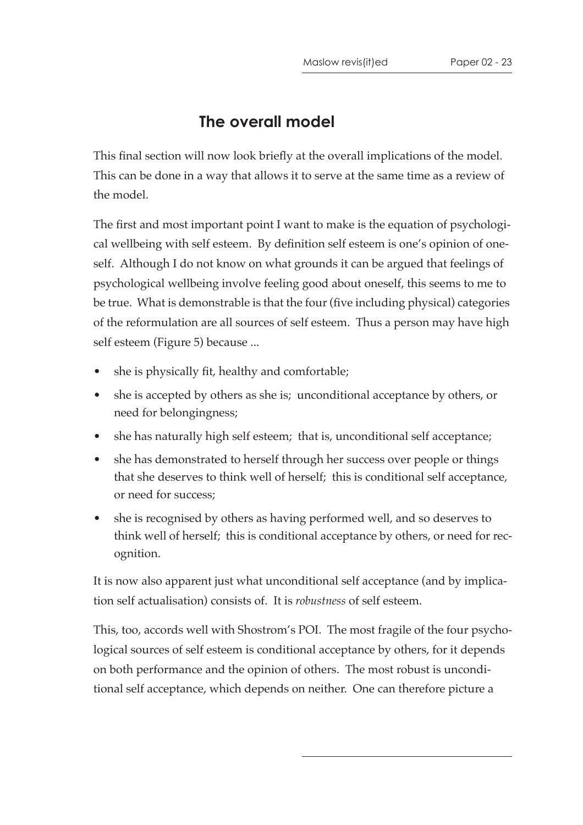# **The overall model**

This final section will now look briefly at the overall implications of the model. This can be done in a way that allows it to serve at the same time as a review of the model.

The first and most important point I want to make is the equation of psychological wellbeing with self esteem. By definition self esteem is one's opinion of oneself. Although I do not know on what grounds it can be argued that feelings of psychological wellbeing involve feeling good about oneself, this seems to me to be true. What is demonstrable is that the four (five including physical) categories of the reformulation are all sources of self esteem. Thus a person may have high self esteem (Figure 5) because ...

- she is physically fit, healthy and comfortable;
- she is accepted by others as she is; unconditional acceptance by others, or need for belongingness;
- she has naturally high self esteem; that is, unconditional self acceptance;
- she has demonstrated to herself through her success over people or things that she deserves to think well of herself; this is conditional self acceptance, or need for success;
- she is recognised by others as having performed well, and so deserves to think well of herself; this is conditional acceptance by others, or need for recognition.

It is now also apparent just what unconditional self acceptance (and by implication self actualisation) consists of. It is *robustness* of self esteem.

This, too, accords well with Shostrom's POI. The most fragile of the four psychological sources of self esteem is conditional acceptance by others, for it depends on both performance and the opinion of others. The most robust is unconditional self acceptance, which depends on neither. One can therefore picture a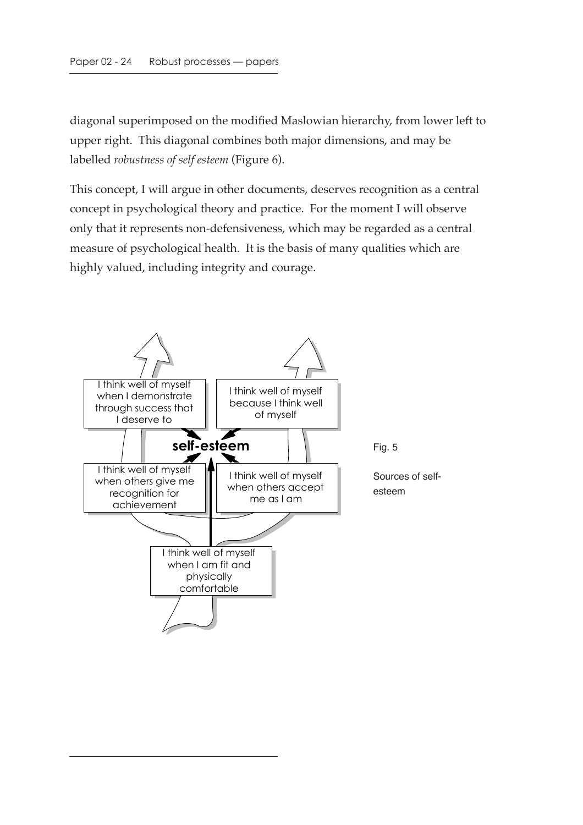diagonal superimposed on the modified Maslowian hierarchy, from lower left to upper right. This diagonal combines both major dimensions, and may be labelled *robustness of self esteem* (Figure 6).

This concept, I will argue in other documents, deserves recognition as a central concept in psychological theory and practice. For the moment I will observe only that it represents non-defensiveness, which may be regarded as a central measure of psychological health. It is the basis of many qualities which are highly valued, including integrity and courage.

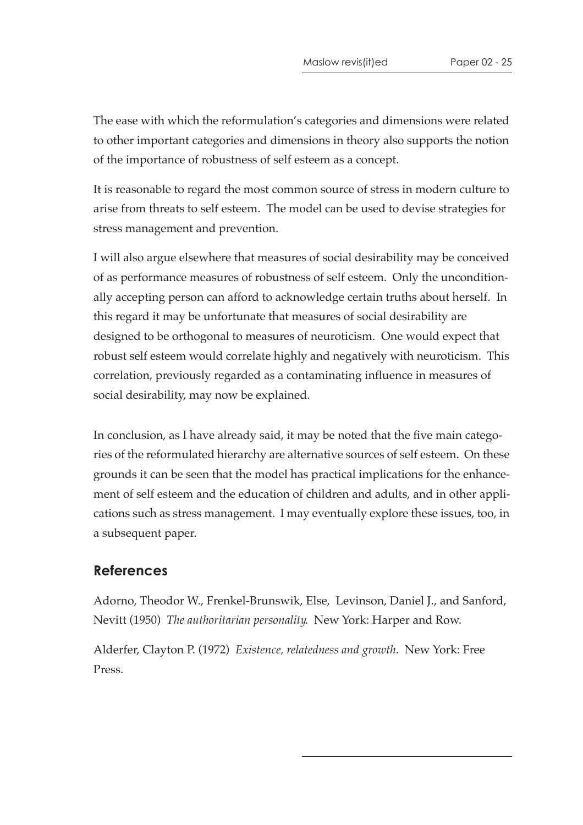The ease with which the reformulation's categories and dimensions were related to other important categories and dimensions in theory also supports the notion of the importance of robustness of self esteem as a concept.

It is reasonable to regard the most common source of stress in modern culture to arise from threats to self esteem. The model can be used to devise strategies for stress management and prevention.

I will also argue elsewhere that measures of social desirability may be conceived of as performance measures of robustness of self esteem. Only the unconditionally accepting person can afford to acknowledge certain truths about herself. In this regard it may be unfortunate that measures of social desirability are designed to be orthogonal to measures of neuroticism. One would expect that robust self esteem would correlate highly and negatively with neuroticism. This correlation, previously regarded as a contaminating influence in measures of social desirability, may now be explained.

In conclusion, as I have already said, it may be noted that the five main categories of the reformulated hierarchy are alternative sources of self esteem. On these grounds it can be seen that the model has practical implications for the enhancement of self esteem and the education of children and adults, and in other applications such as stress management. I may eventually explore these issues, too, in a subsequent paper.

#### **References**

Adorno, Theodor W., Frenkel-Brunswik, Else, Levinson, Daniel J., and Sanford, Nevitt (1950) *The authoritarian personality*. New York: Harper and Row.

Alderfer, Clayton P. (1972) *Existence, relatedness and growth*. New York: Free Press.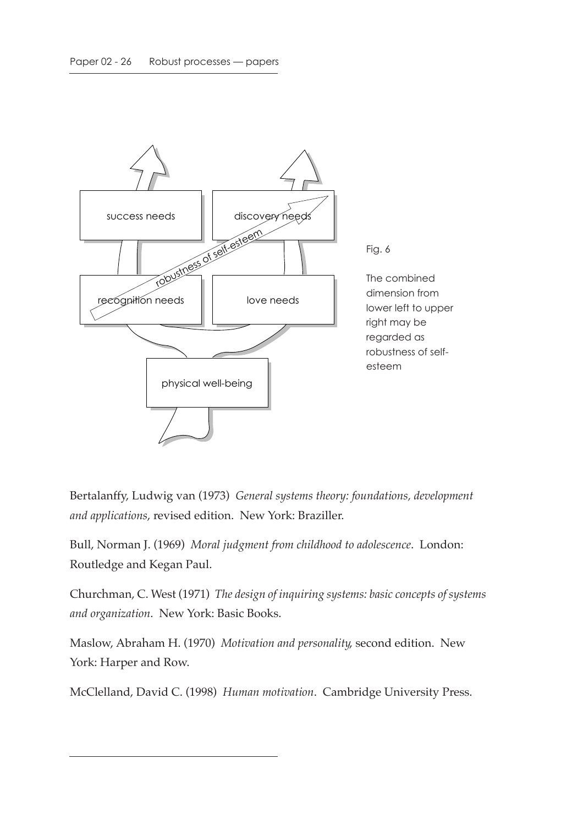

Bertalanffy, Ludwig van (1973) *General systems theory: foundations, development and applications*, revised edition. New York: Braziller.

Bull, Norman J. (1969) *Moral judgment from childhood to adolescence*. London: Routledge and Kegan Paul.

Churchman, C. West (1971) *The design of inquiring systems: basic concepts of systems and organization*. New York: Basic Books.

Maslow, Abraham H. (1970) *Motivation and personality*, second edition. New York: Harper and Row.

McClelland, David C. (1998) *Human motivation*. Cambridge University Press.